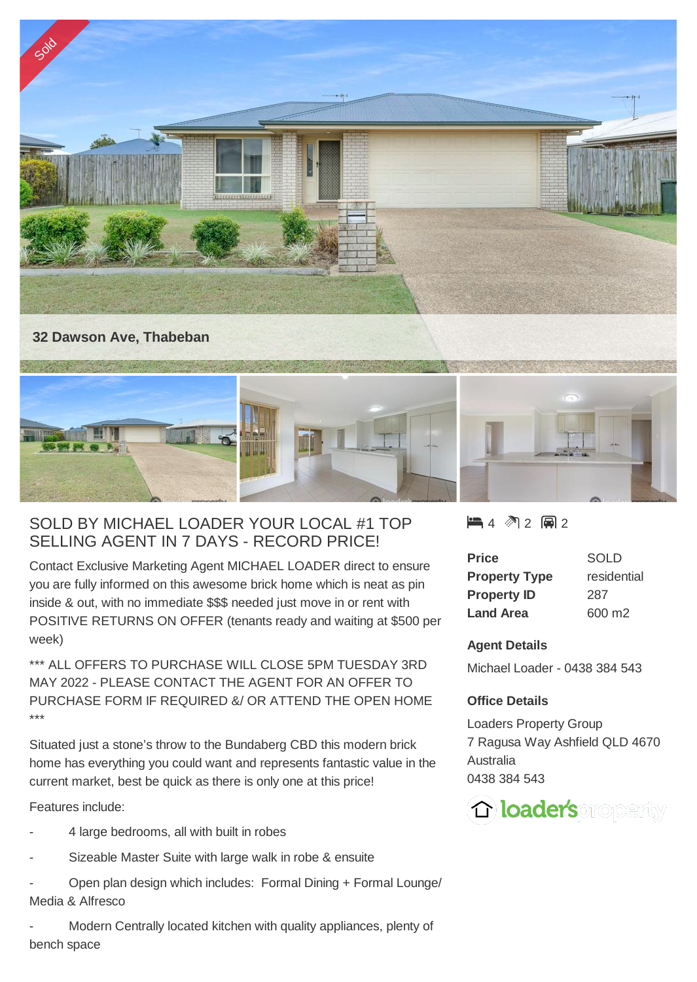

## SOLD BY MICHAEL LOADER YOUR LOCAL #1 TOP SELLING AGENT IN 7 DAYS - RECORD PRICE!

Contact Exclusive Marketing Agent MICHAEL LOADER direct to ensure you are fully informed on this awesome brick home which is neat as pin inside & out, with no immediate \$\$\$ needed just move in or rent with POSITIVE RETURNS ON OFFER (tenants ready and waiting at \$500 per week)

\*\*\* ALL OFFERS TO PURCHASE WILL CLOSE 5PM TUESDAY 3RD MAY 2022 - PLEASE CONTACT THE AGENT FOR AN OFFER TO PURCHASE FORM IF REQUIRED &/ OR ATTEND THE OPEN HOME \*\*\*

Situated just a stone's throw to the Bundaberg CBD this modern brick home has everything you could want and represents fantastic value in the current market, best be quick as there is only one at this price!

Features include:

- 4 large bedrooms, all with built in robes
- Sizeable Master Suite with large walk in robe & ensuite
- Open plan design which includes: Formal Dining + Formal Lounge/ Media & Alfresco

Modern Centrally located kitchen with quality appliances, plenty of bench space

## $4 \,$   $\,$  2 2 2 2

| Price                | <b>SOLD</b> |
|----------------------|-------------|
| <b>Property Type</b> | residential |
| <b>Property ID</b>   | 287         |
| <b>Land Area</b>     | 600 m2      |

## **Agent Details**

Michael Loader - 0438 384 543

## **Office Details**

Loaders Property Group 7 Ragusa Way Ashfield QLD 4670 Australia 0438 384 543

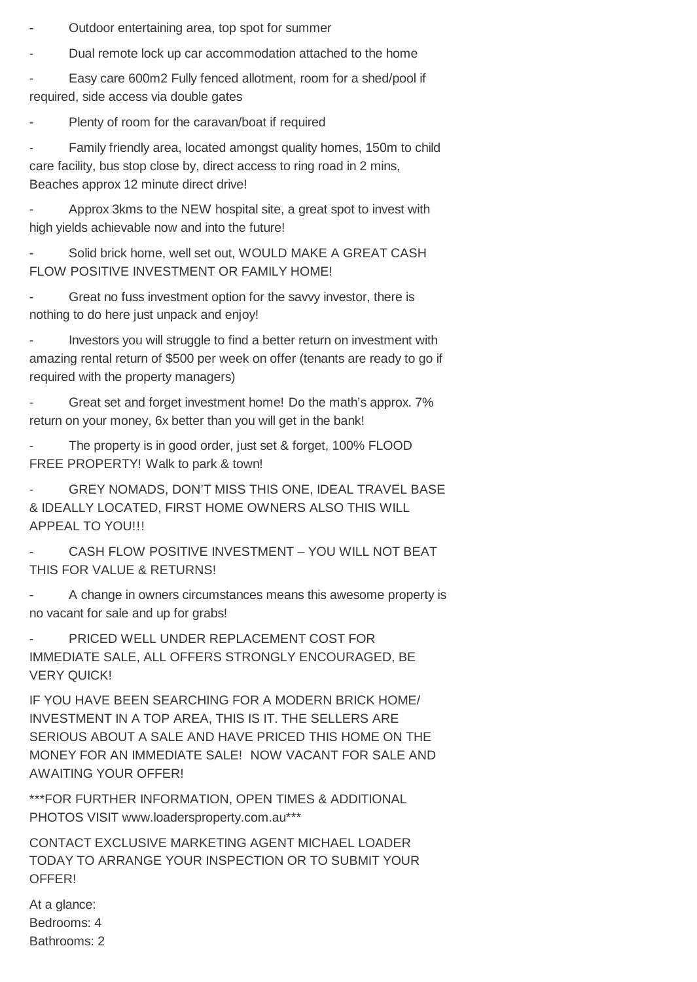Outdoor entertaining area, top spot for summer

Dual remote lock up car accommodation attached to the home

Easy care 600m2 Fully fenced allotment, room for a shed/pool if required, side access via double gates

Plenty of room for the caravan/boat if required

Family friendly area, located amongst quality homes, 150m to child care facility, bus stop close by, direct access to ring road in 2 mins, Beaches approx 12 minute direct drive!

Approx 3kms to the NEW hospital site, a great spot to invest with high yields achievable now and into the future!

Solid brick home, well set out, WOULD MAKE A GREAT CASH FLOW POSITIVE INVESTMENT OR FAMILY HOME!

- Great no fuss investment option for the savvy investor, there is nothing to do here just unpack and enjoy!

Investors you will struggle to find a better return on investment with amazing rental return of \$500 per week on offer (tenants are ready to go if required with the property managers)

Great set and forget investment home! Do the math's approx. 7% return on your money, 6x better than you will get in the bank!

The property is in good order, just set & forget, 100% FLOOD FREE PROPERTY! Walk to park & town!

GREY NOMADS, DON'T MISS THIS ONE, IDEAL TRAVEL BASE & IDEALLY LOCATED, FIRST HOME OWNERS ALSO THIS WILL APPEAL TO YOU!!!

CASH FLOW POSITIVE INVESTMENT – YOU WILL NOT BEAT THIS FOR VALUE & RETURNS!

A change in owners circumstances means this awesome property is no vacant for sale and up for grabs!

PRICED WELL UNDER REPLACEMENT COST FOR IMMEDIATE SALE, ALL OFFERS STRONGLY ENCOURAGED, BE VERY QUICK!

IF YOU HAVE BEEN SEARCHING FOR A MODERN BRICK HOME/ INVESTMENT IN A TOP AREA, THIS IS IT. THE SELLERS ARE SERIOUS ABOUT A SALE AND HAVE PRICED THIS HOME ON THE MONEY FOR AN IMMEDIATE SALE! NOW VACANT FOR SALE AND AWAITING YOUR OFFER!

\*\*\*FOR FURTHER INFORMATION, OPEN TIMES & ADDITIONAL PHOTOS VISIT www.loadersproperty.com.au\*\*\*

CONTACT EXCLUSIVE MARKETING AGENT MICHAEL LOADER TODAY TO ARRANGE YOUR INSPECTION OR TO SUBMIT YOUR OFFER!

At a glance: Bedrooms: 4 Bathrooms: 2